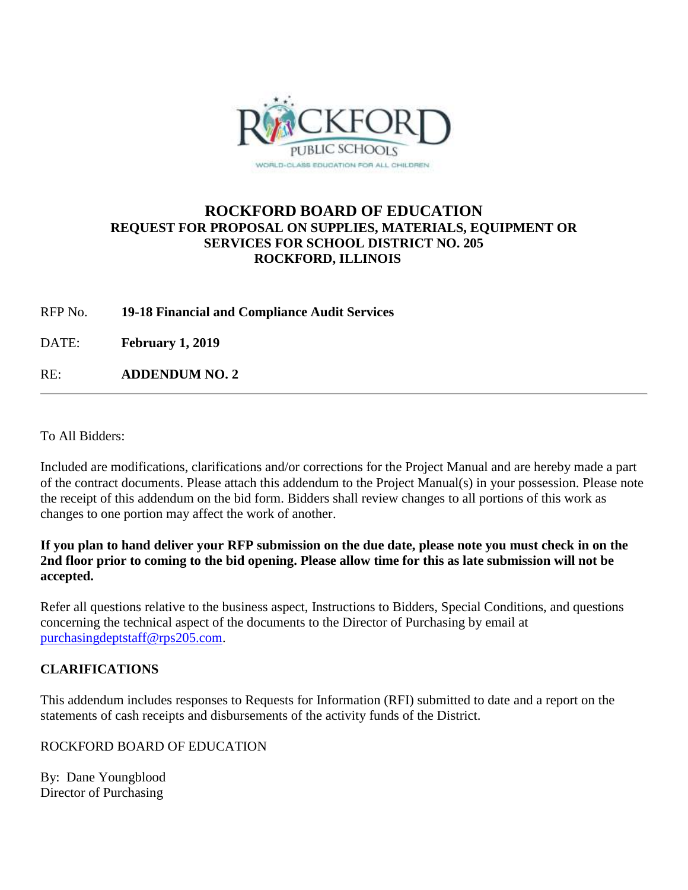

# **ROCKFORD BOARD OF EDUCATION REQUEST FOR PROPOSAL ON SUPPLIES, MATERIALS, EQUIPMENT OR SERVICES FOR SCHOOL DISTRICT NO. 205 ROCKFORD, ILLINOIS**

RFP No. **19-18 Financial and Compliance Audit Services**

DATE: **February 1, 2019**

RE: **ADDENDUM NO. 2**

To All Bidders:

Included are modifications, clarifications and/or corrections for the Project Manual and are hereby made a part of the contract documents. Please attach this addendum to the Project Manual(s) in your possession. Please note the receipt of this addendum on the bid form. Bidders shall review changes to all portions of this work as changes to one portion may affect the work of another.

### **If you plan to hand deliver your RFP submission on the due date, please note you must check in on the 2nd floor prior to coming to the bid opening. Please allow time for this as late submission will not be accepted.**

Refer all questions relative to the business aspect, Instructions to Bidders, Special Conditions, and questions concerning the technical aspect of the documents to the Director of Purchasing by email at [purchasingdeptstaff@rps205.com.](mailto:purchasingdeptstaff@rps205.com)

### **CLARIFICATIONS**

This addendum includes responses to Requests for Information (RFI) submitted to date and a report on the statements of cash receipts and disbursements of the activity funds of the District.

ROCKFORD BOARD OF EDUCATION

By: Dane Youngblood Director of Purchasing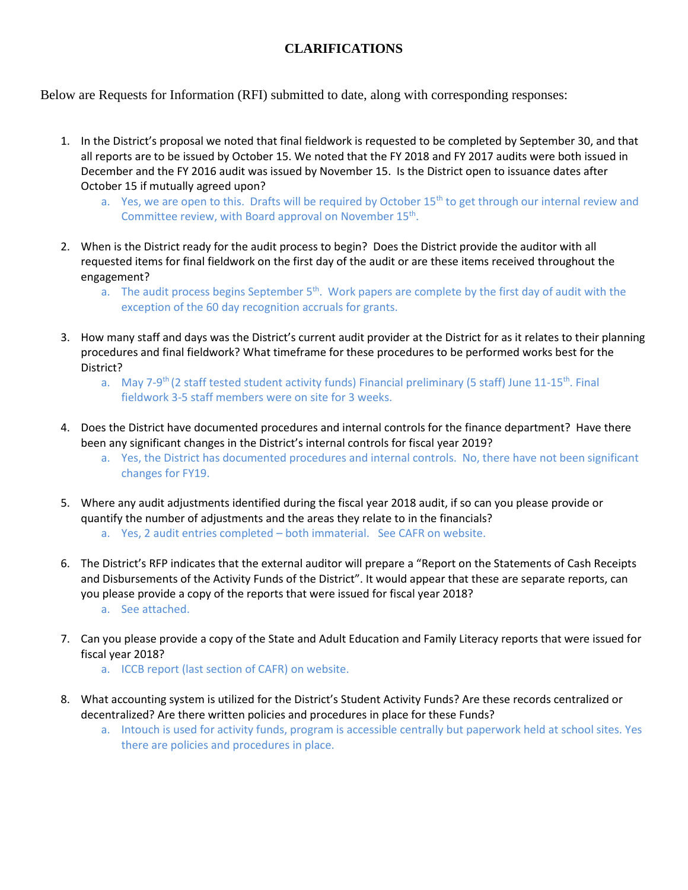# **CLARIFICATIONS**

Below are Requests for Information (RFI) submitted to date, along with corresponding responses:

- 1. In the District's proposal we noted that final fieldwork is requested to be completed by September 30, and that all reports are to be issued by October 15. We noted that the FY 2018 and FY 2017 audits were both issued in December and the FY 2016 audit was issued by November 15. Is the District open to issuance dates after October 15 if mutually agreed upon?
	- a. Yes, we are open to this. Drafts will be required by October  $15<sup>th</sup>$  to get through our internal review and Committee review, with Board approval on November 15<sup>th</sup>.
- 2. When is the District ready for the audit process to begin? Does the District provide the auditor with all requested items for final fieldwork on the first day of the audit or are these items received throughout the engagement?
	- a. The audit process begins September  $5<sup>th</sup>$ . Work papers are complete by the first day of audit with the exception of the 60 day recognition accruals for grants.
- 3. How many staff and days was the District's current audit provider at the District for as it relates to their planning procedures and final fieldwork? What timeframe for these procedures to be performed works best for the District?
	- a. May 7-9<sup>th</sup> (2 staff tested student activity funds) Financial preliminary (5 staff) June 11-15<sup>th</sup>. Final fieldwork 3-5 staff members were on site for 3 weeks.
- 4. Does the District have documented procedures and internal controls for the finance department? Have there been any significant changes in the District's internal controls for fiscal year 2019?
	- a. Yes, the District has documented procedures and internal controls. No, there have not been significant changes for FY19.
- 5. Where any audit adjustments identified during the fiscal year 2018 audit, if so can you please provide or quantify the number of adjustments and the areas they relate to in the financials?
	- a. Yes, 2 audit entries completed both immaterial. See CAFR on website.
- 6. The District's RFP indicates that the external auditor will prepare a "Report on the Statements of Cash Receipts and Disbursements of the Activity Funds of the District". It would appear that these are separate reports, can you please provide a copy of the reports that were issued for fiscal year 2018? a. See attached.
- 7. Can you please provide a copy of the State and Adult Education and Family Literacy reports that were issued for fiscal year 2018?
	- a. ICCB report (last section of CAFR) on website.
- 8. What accounting system is utilized for the District's Student Activity Funds? Are these records centralized or decentralized? Are there written policies and procedures in place for these Funds?
	- a. Intouch is used for activity funds, program is accessible centrally but paperwork held at school sites. Yes there are policies and procedures in place.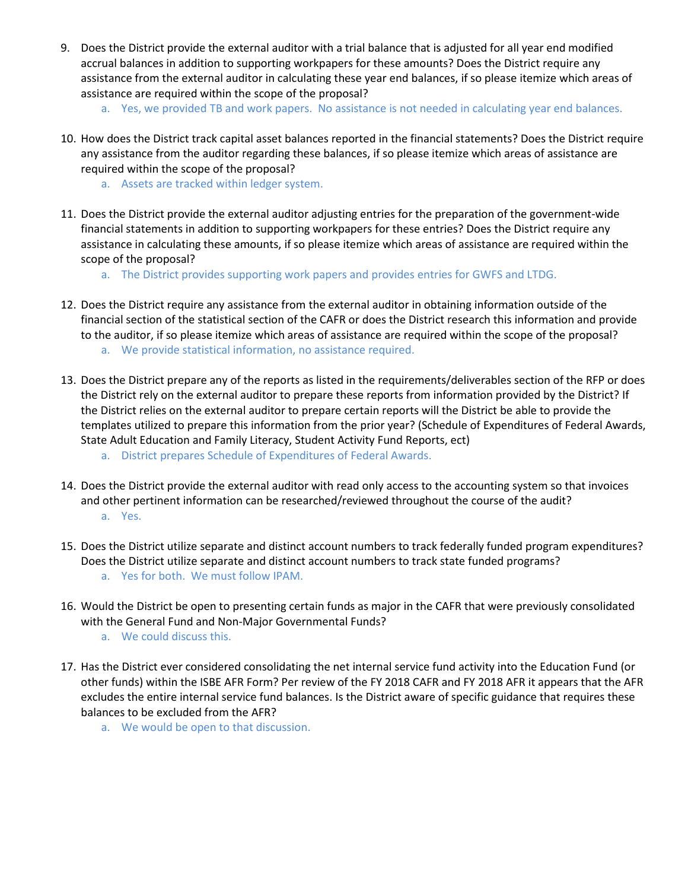- 9. Does the District provide the external auditor with a trial balance that is adjusted for all year end modified accrual balances in addition to supporting workpapers for these amounts? Does the District require any assistance from the external auditor in calculating these year end balances, if so please itemize which areas of assistance are required within the scope of the proposal?
	- a. Yes, we provided TB and work papers. No assistance is not needed in calculating year end balances.
- 10. How does the District track capital asset balances reported in the financial statements? Does the District require any assistance from the auditor regarding these balances, if so please itemize which areas of assistance are required within the scope of the proposal?
	- a. Assets are tracked within ledger system.
- 11. Does the District provide the external auditor adjusting entries for the preparation of the government-wide financial statements in addition to supporting workpapers for these entries? Does the District require any assistance in calculating these amounts, if so please itemize which areas of assistance are required within the scope of the proposal?
	- a. The District provides supporting work papers and provides entries for GWFS and LTDG.
- 12. Does the District require any assistance from the external auditor in obtaining information outside of the financial section of the statistical section of the CAFR or does the District research this information and provide to the auditor, if so please itemize which areas of assistance are required within the scope of the proposal? a. We provide statistical information, no assistance required.
- 13. Does the District prepare any of the reports as listed in the requirements/deliverables section of the RFP or does the District rely on the external auditor to prepare these reports from information provided by the District? If the District relies on the external auditor to prepare certain reports will the District be able to provide the templates utilized to prepare this information from the prior year? (Schedule of Expenditures of Federal Awards, State Adult Education and Family Literacy, Student Activity Fund Reports, ect)
	- a. District prepares Schedule of Expenditures of Federal Awards.
- 14. Does the District provide the external auditor with read only access to the accounting system so that invoices and other pertinent information can be researched/reviewed throughout the course of the audit? a. Yes.
- 15. Does the District utilize separate and distinct account numbers to track federally funded program expenditures? Does the District utilize separate and distinct account numbers to track state funded programs? a. Yes for both. We must follow IPAM.
- 16. Would the District be open to presenting certain funds as major in the CAFR that were previously consolidated with the General Fund and Non-Major Governmental Funds?
	- a. We could discuss this.
- 17. Has the District ever considered consolidating the net internal service fund activity into the Education Fund (or other funds) within the ISBE AFR Form? Per review of the FY 2018 CAFR and FY 2018 AFR it appears that the AFR excludes the entire internal service fund balances. Is the District aware of specific guidance that requires these balances to be excluded from the AFR?
	- a. We would be open to that discussion.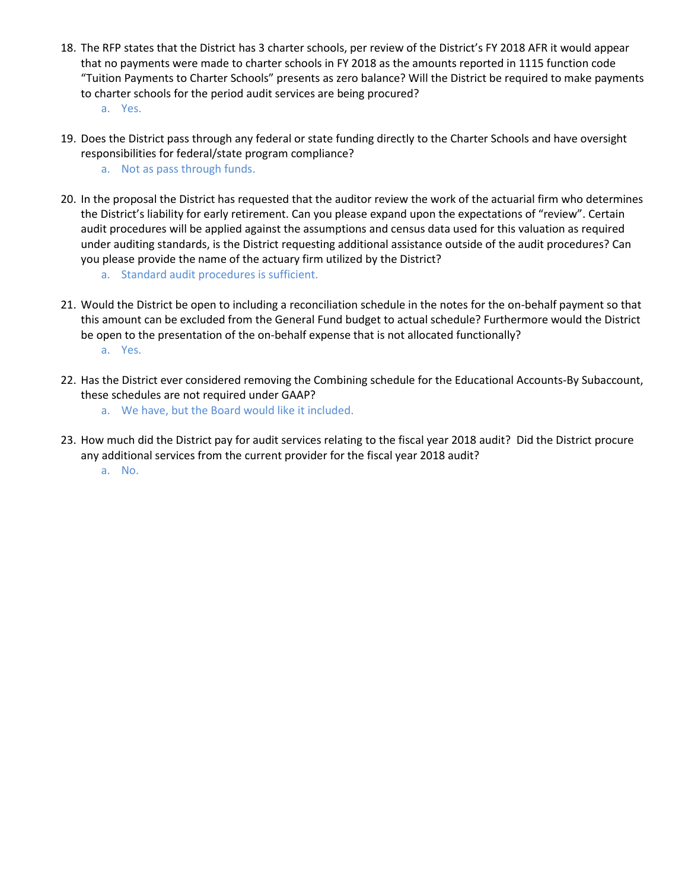- 18. The RFP states that the District has 3 charter schools, per review of the District's FY 2018 AFR it would appear that no payments were made to charter schools in FY 2018 as the amounts reported in 1115 function code "Tuition Payments to Charter Schools" presents as zero balance? Will the District be required to make payments to charter schools for the period audit services are being procured? a. Yes.
- 19. Does the District pass through any federal or state funding directly to the Charter Schools and have oversight responsibilities for federal/state program compliance?
	- a. Not as pass through funds.
- 20. In the proposal the District has requested that the auditor review the work of the actuarial firm who determines the District's liability for early retirement. Can you please expand upon the expectations of "review". Certain audit procedures will be applied against the assumptions and census data used for this valuation as required under auditing standards, is the District requesting additional assistance outside of the audit procedures? Can you please provide the name of the actuary firm utilized by the District?
	- a. Standard audit procedures is sufficient.
- 21. Would the District be open to including a reconciliation schedule in the notes for the on-behalf payment so that this amount can be excluded from the General Fund budget to actual schedule? Furthermore would the District be open to the presentation of the on-behalf expense that is not allocated functionally? a. Yes.
- 22. Has the District ever considered removing the Combining schedule for the Educational Accounts-By Subaccount, these schedules are not required under GAAP?
	- a. We have, but the Board would like it included.
- 23. How much did the District pay for audit services relating to the fiscal year 2018 audit? Did the District procure any additional services from the current provider for the fiscal year 2018 audit?
	- a. No.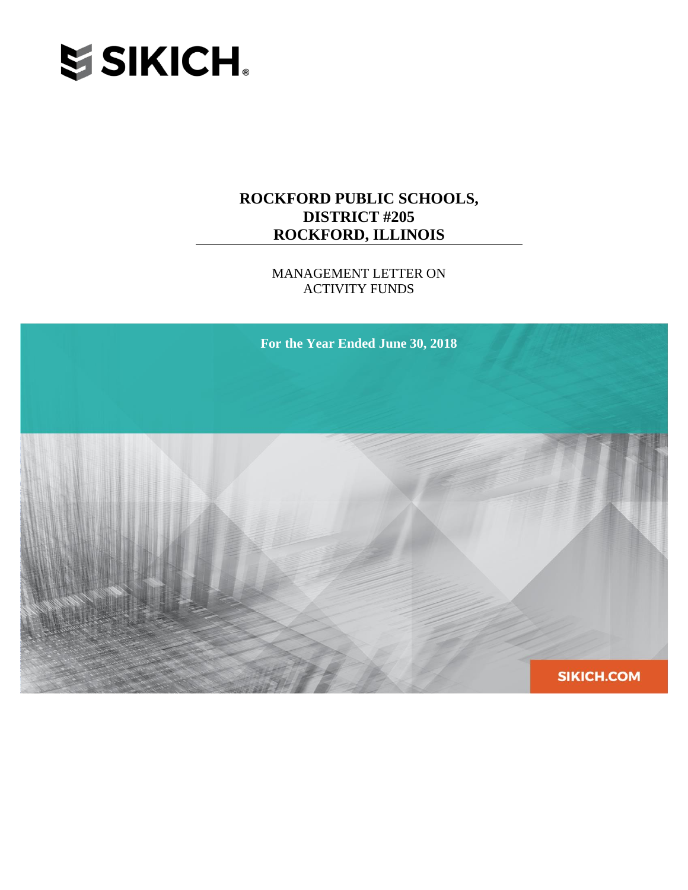

MANAGEMENT LETTER ON ACTIVITY FUNDS

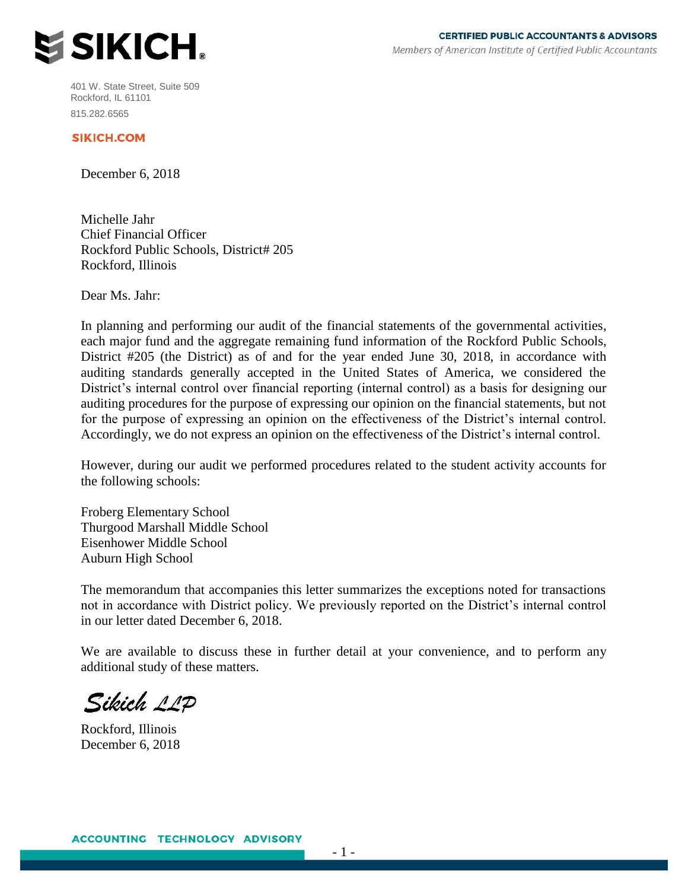

401 W. State Street, Suite 509 Rockford, IL 61101 815.282.6565

#### **SIKICH.COM**

December 6, 2018

Michelle Jahr Chief Financial Officer Rockford Public Schools, District# 205 Rockford, Illinois

Dear Ms. Jahr:

In planning and performing our audit of the financial statements of the governmental activities, each major fund and the aggregate remaining fund information of the Rockford Public Schools, District #205 (the District) as of and for the year ended June 30, 2018, in accordance with auditing standards generally accepted in the United States of America, we considered the District's internal control over financial reporting (internal control) as a basis for designing our auditing procedures for the purpose of expressing our opinion on the financial statements, but not for the purpose of expressing an opinion on the effectiveness of the District's internal control. Accordingly, we do not express an opinion on the effectiveness of the District's internal control.

However, during our audit we performed procedures related to the student activity accounts for the following schools:

Froberg Elementary School Thurgood Marshall Middle School Eisenhower Middle School Auburn High School

The memorandum that accompanies this letter summarizes the exceptions noted for transactions not in accordance with District policy. We previously reported on the District's internal control in our letter dated December 6, 2018.

We are available to discuss these in further detail at your convenience, and to perform any additional study of these matters.

Sikich 11P

Rockford, Illinois December 6, 2018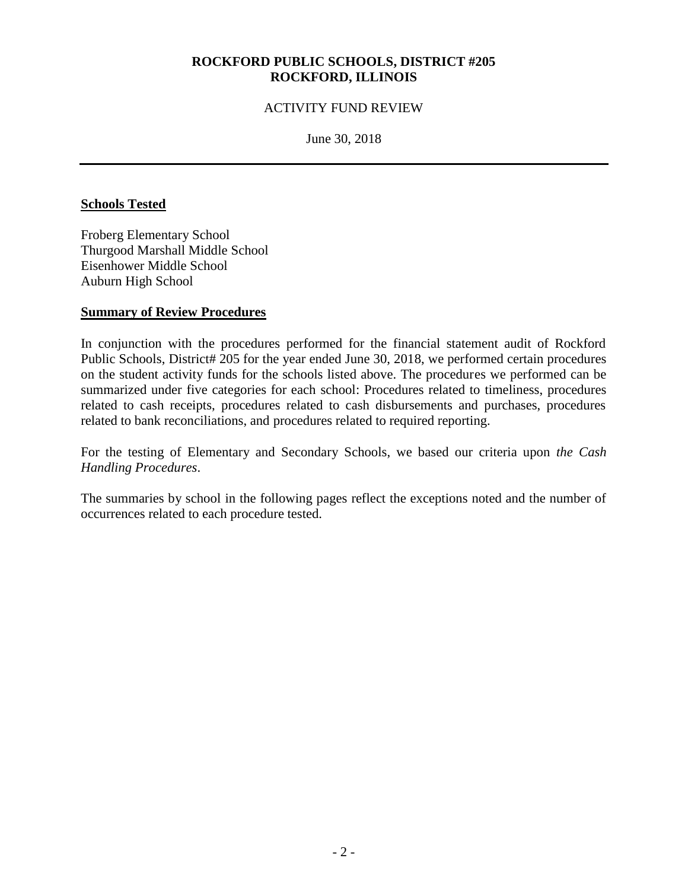#### ACTIVITY FUND REVIEW

June 30, 2018

#### **Schools Tested**

Froberg Elementary School Thurgood Marshall Middle School Eisenhower Middle School Auburn High School

#### **Summary of Review Procedures**

In conjunction with the procedures performed for the financial statement audit of Rockford Public Schools, District# 205 for the year ended June 30, 2018, we performed certain procedures on the student activity funds for the schools listed above. The procedures we performed can be summarized under five categories for each school: Procedures related to timeliness, procedures related to cash receipts, procedures related to cash disbursements and purchases, procedures related to bank reconciliations, and procedures related to required reporting.

For the testing of Elementary and Secondary Schools, we based our criteria upon *the Cash Handling Procedures*.

The summaries by school in the following pages reflect the exceptions noted and the number of occurrences related to each procedure tested.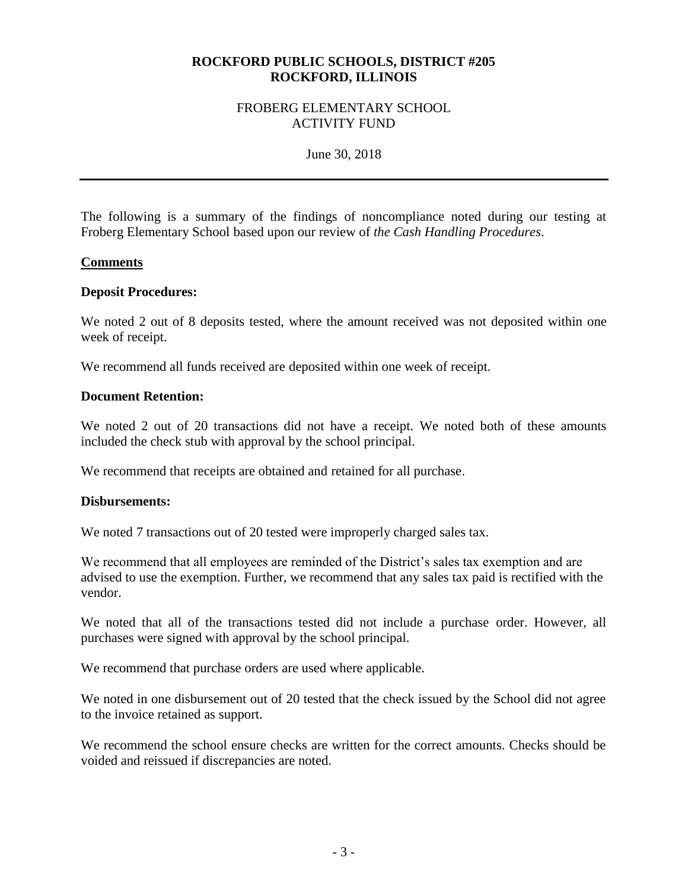#### FROBERG ELEMENTARY SCHOOL ACTIVITY FUND

June 30, 2018

The following is a summary of the findings of noncompliance noted during our testing at Froberg Elementary School based upon our review of *the Cash Handling Procedures*.

#### **Comments**

#### **Deposit Procedures:**

We noted 2 out of 8 deposits tested, where the amount received was not deposited within one week of receipt.

We recommend all funds received are deposited within one week of receipt.

#### **Document Retention:**

We noted 2 out of 20 transactions did not have a receipt. We noted both of these amounts included the check stub with approval by the school principal.

We recommend that receipts are obtained and retained for all purchase.

#### **Disbursements:**

We noted 7 transactions out of 20 tested were improperly charged sales tax.

We recommend that all employees are reminded of the District's sales tax exemption and are advised to use the exemption. Further, we recommend that any sales tax paid is rectified with the vendor.

We noted that all of the transactions tested did not include a purchase order. However, all purchases were signed with approval by the school principal.

We recommend that purchase orders are used where applicable.

We noted in one disbursement out of 20 tested that the check issued by the School did not agree to the invoice retained as support.

We recommend the school ensure checks are written for the correct amounts. Checks should be voided and reissued if discrepancies are noted.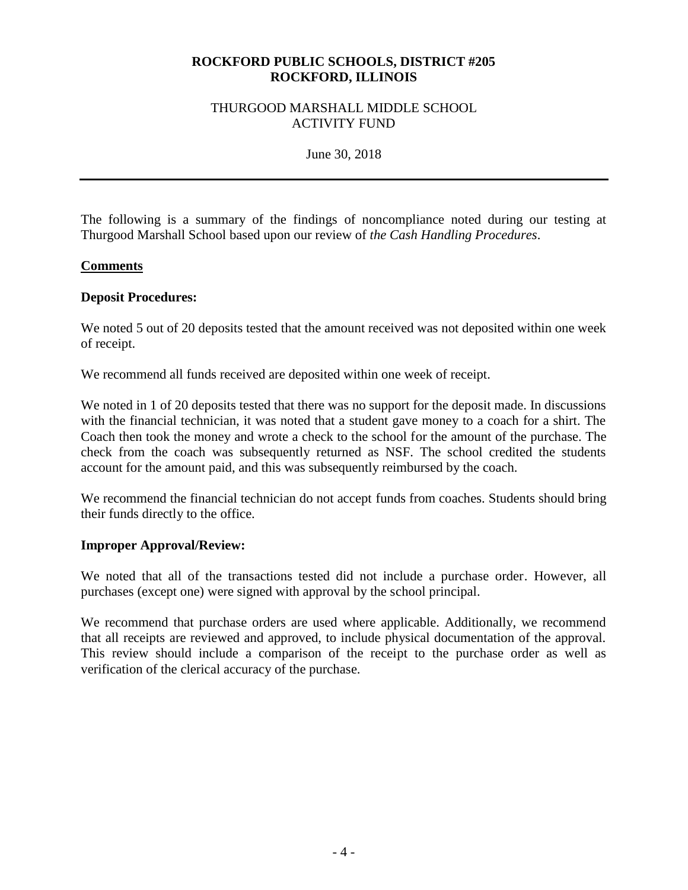#### THURGOOD MARSHALL MIDDLE SCHOOL ACTIVITY FUND

June 30, 2018

The following is a summary of the findings of noncompliance noted during our testing at Thurgood Marshall School based upon our review of *the Cash Handling Procedures*.

#### **Comments**

#### **Deposit Procedures:**

We noted 5 out of 20 deposits tested that the amount received was not deposited within one week of receipt.

We recommend all funds received are deposited within one week of receipt.

We noted in 1 of 20 deposits tested that there was no support for the deposit made. In discussions with the financial technician, it was noted that a student gave money to a coach for a shirt. The Coach then took the money and wrote a check to the school for the amount of the purchase. The check from the coach was subsequently returned as NSF. The school credited the students account for the amount paid, and this was subsequently reimbursed by the coach.

We recommend the financial technician do not accept funds from coaches. Students should bring their funds directly to the office.

#### **Improper Approval/Review:**

We noted that all of the transactions tested did not include a purchase order. However, all purchases (except one) were signed with approval by the school principal.

We recommend that purchase orders are used where applicable. Additionally, we recommend that all receipts are reviewed and approved, to include physical documentation of the approval. This review should include a comparison of the receipt to the purchase order as well as verification of the clerical accuracy of the purchase.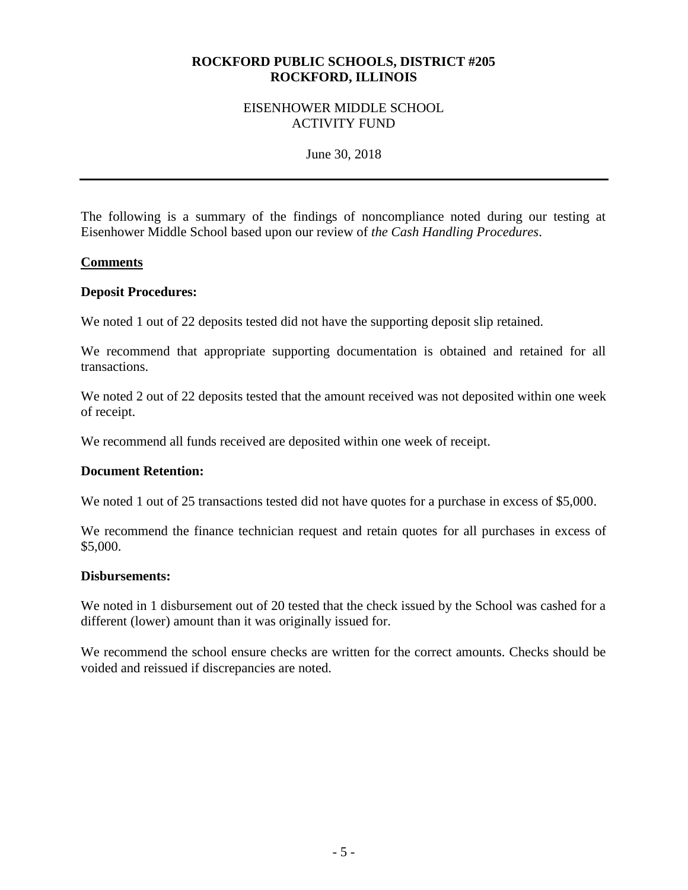#### EISENHOWER MIDDLE SCHOOL ACTIVITY FUND

June 30, 2018

The following is a summary of the findings of noncompliance noted during our testing at Eisenhower Middle School based upon our review of *the Cash Handling Procedures*.

#### **Comments**

#### **Deposit Procedures:**

We noted 1 out of 22 deposits tested did not have the supporting deposit slip retained.

We recommend that appropriate supporting documentation is obtained and retained for all transactions.

We noted 2 out of 22 deposits tested that the amount received was not deposited within one week of receipt.

We recommend all funds received are deposited within one week of receipt.

#### **Document Retention:**

We noted 1 out of 25 transactions tested did not have quotes for a purchase in excess of \$5,000.

We recommend the finance technician request and retain quotes for all purchases in excess of \$5,000.

#### **Disbursements:**

We noted in 1 disbursement out of 20 tested that the check issued by the School was cashed for a different (lower) amount than it was originally issued for.

We recommend the school ensure checks are written for the correct amounts. Checks should be voided and reissued if discrepancies are noted.